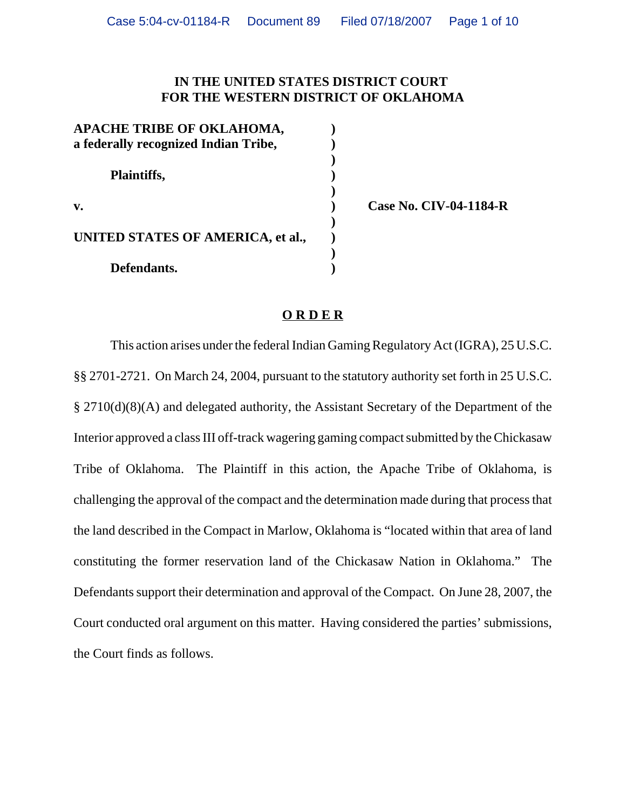## **IN THE UNITED STATES DISTRICT COURT FOR THE WESTERN DISTRICT OF OKLAHOMA**

| APACHE TRIBE OF OKLAHOMA,<br>a federally recognized Indian Tribe, |  |
|-------------------------------------------------------------------|--|
| <b>Plaintiffs,</b>                                                |  |
| v.                                                                |  |
| UNITED STATES OF AMERICA, et al.,                                 |  |
| Defendants.                                                       |  |

**v. ) Case No. CIV-04-1184-R**

## **O R D E R**

This action arises under the federal Indian Gaming Regulatory Act (IGRA), 25 U.S.C. §§ 2701-2721. On March 24, 2004, pursuant to the statutory authority set forth in 25 U.S.C. § 2710(d)(8)(A) and delegated authority, the Assistant Secretary of the Department of the Interior approved a class III off-track wagering gaming compact submitted by the Chickasaw Tribe of Oklahoma. The Plaintiff in this action, the Apache Tribe of Oklahoma, is challenging the approval of the compact and the determination made during that process that the land described in the Compact in Marlow, Oklahoma is "located within that area of land constituting the former reservation land of the Chickasaw Nation in Oklahoma." The Defendants support their determination and approval of the Compact. On June 28, 2007, the Court conducted oral argument on this matter. Having considered the parties' submissions, the Court finds as follows.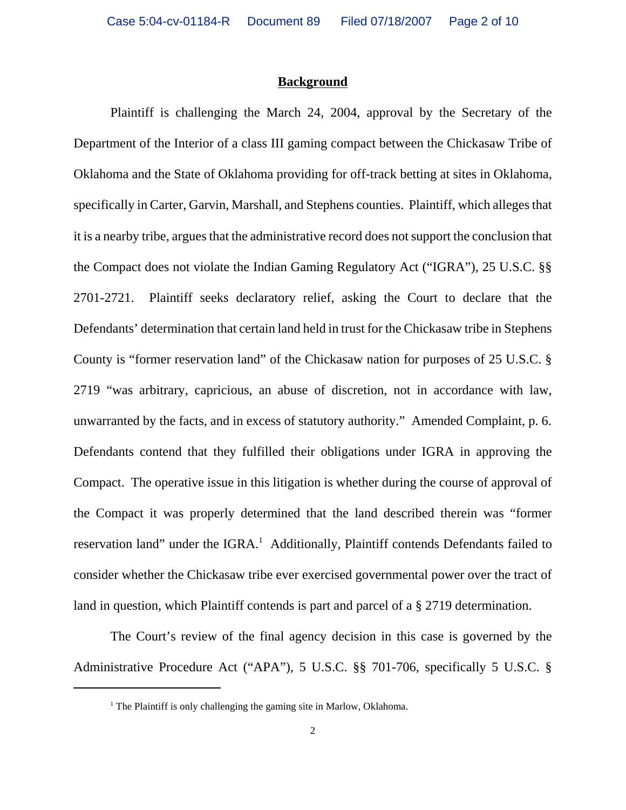## **Background**

Plaintiff is challenging the March 24, 2004, approval by the Secretary of the Department of the Interior of a class III gaming compact between the Chickasaw Tribe of Oklahoma and the State of Oklahoma providing for off-track betting at sites in Oklahoma, specifically in Carter, Garvin, Marshall, and Stephens counties. Plaintiff, which alleges that it is a nearby tribe, argues that the administrative record does not support the conclusion that the Compact does not violate the Indian Gaming Regulatory Act ("IGRA"), 25 U.S.C. §§ 2701-2721. Plaintiff seeks declaratory relief, asking the Court to declare that the Defendants' determination that certain land held in trust for the Chickasaw tribe in Stephens County is "former reservation land" of the Chickasaw nation for purposes of 25 U.S.C. § 2719 "was arbitrary, capricious, an abuse of discretion, not in accordance with law, unwarranted by the facts, and in excess of statutory authority." Amended Complaint, p. 6. Defendants contend that they fulfilled their obligations under IGRA in approving the Compact. The operative issue in this litigation is whether during the course of approval of the Compact it was properly determined that the land described therein was "former reservation land" under the IGRA.<sup>1</sup> Additionally, Plaintiff contends Defendants failed to consider whether the Chickasaw tribe ever exercised governmental power over the tract of land in question, which Plaintiff contends is part and parcel of a § 2719 determination.

The Court's review of the final agency decision in this case is governed by the Administrative Procedure Act ("APA"), 5 U.S.C. §§ 701-706, specifically 5 U.S.C. §

<sup>&</sup>lt;sup>1</sup> The Plaintiff is only challenging the gaming site in Marlow, Oklahoma.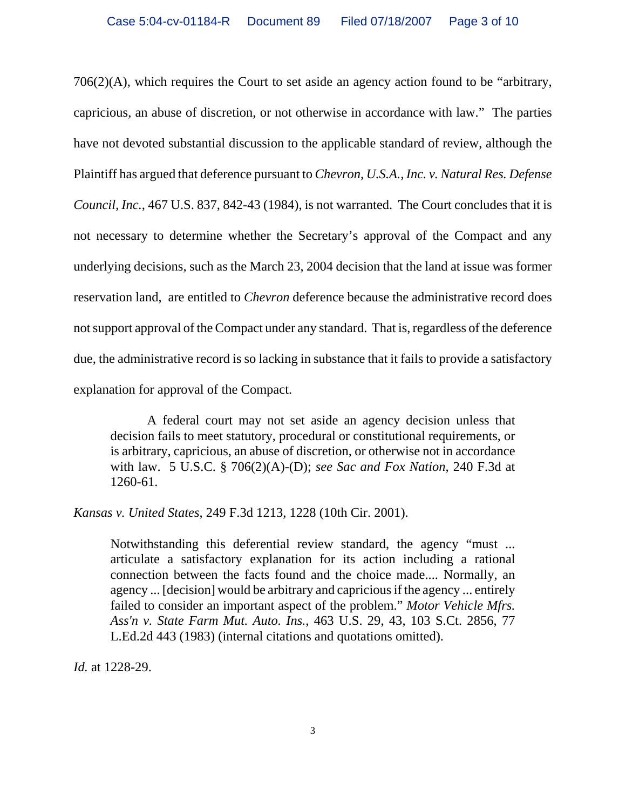706(2)(A), which requires the Court to set aside an agency action found to be "arbitrary, capricious, an abuse of discretion, or not otherwise in accordance with law." The parties have not devoted substantial discussion to the applicable standard of review, although the Plaintiff has argued that deference pursuant to *Chevron, U.S.A., Inc. v. Natural Res. Defense Council, Inc.*, 467 U.S. 837, 842-43 (1984), is not warranted. The Court concludes that it is not necessary to determine whether the Secretary's approval of the Compact and any underlying decisions, such as the March 23, 2004 decision that the land at issue was former reservation land, are entitled to *Chevron* deference because the administrative record does not support approval of the Compact under any standard. That is, regardless of the deference due, the administrative record is so lacking in substance that it fails to provide a satisfactory explanation for approval of the Compact.

A federal court may not set aside an agency decision unless that decision fails to meet statutory, procedural or constitutional requirements, or is arbitrary, capricious, an abuse of discretion, or otherwise not in accordance with law. 5 U.S.C. § 706(2)(A)-(D); *see Sac and Fox Nation*, 240 F.3d at 1260-61.

*Kansas v. United States*, 249 F.3d 1213, 1228 (10th Cir. 2001).

Notwithstanding this deferential review standard, the agency "must ... articulate a satisfactory explanation for its action including a rational connection between the facts found and the choice made.... Normally, an agency ... [decision] would be arbitrary and capricious if the agency ... entirely failed to consider an important aspect of the problem." *Motor Vehicle Mfrs. Ass'n v. State Farm Mut. Auto. Ins.*, 463 U.S. 29, 43, 103 S.Ct. 2856, 77 L.Ed.2d 443 (1983) (internal citations and quotations omitted).

*Id.* at 1228-29.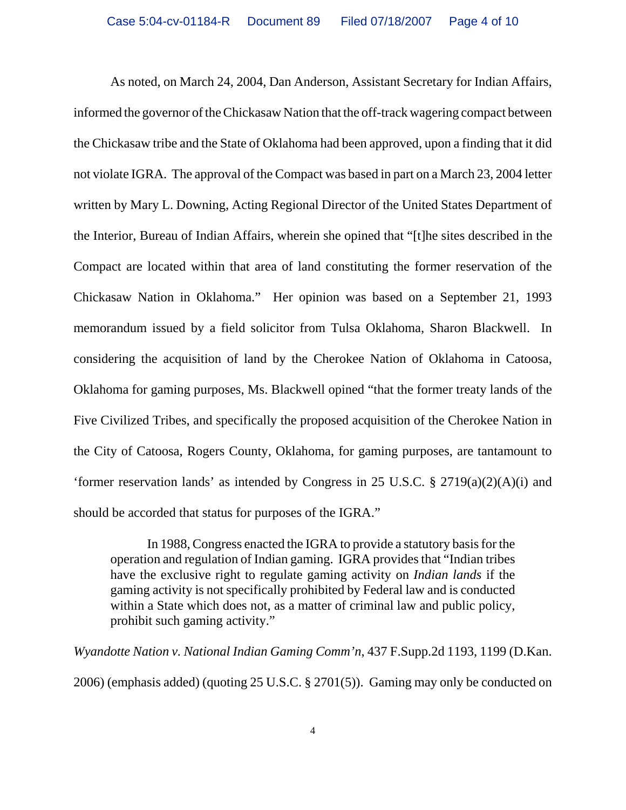As noted, on March 24, 2004, Dan Anderson, Assistant Secretary for Indian Affairs, informed the governor of the Chickasaw Nation that the off-track wagering compact between the Chickasaw tribe and the State of Oklahoma had been approved, upon a finding that it did not violate IGRA. The approval of the Compact was based in part on a March 23, 2004 letter written by Mary L. Downing, Acting Regional Director of the United States Department of the Interior, Bureau of Indian Affairs, wherein she opined that "[t]he sites described in the Compact are located within that area of land constituting the former reservation of the Chickasaw Nation in Oklahoma." Her opinion was based on a September 21, 1993 memorandum issued by a field solicitor from Tulsa Oklahoma, Sharon Blackwell. In considering the acquisition of land by the Cherokee Nation of Oklahoma in Catoosa, Oklahoma for gaming purposes, Ms. Blackwell opined "that the former treaty lands of the Five Civilized Tribes, and specifically the proposed acquisition of the Cherokee Nation in the City of Catoosa, Rogers County, Oklahoma, for gaming purposes, are tantamount to 'former reservation lands' as intended by Congress in 25 U.S.C. § 2719(a)(2)(A)(i) and should be accorded that status for purposes of the IGRA."

In 1988, Congress enacted the IGRA to provide a statutory basis for the operation and regulation of Indian gaming. IGRA provides that "Indian tribes have the exclusive right to regulate gaming activity on *Indian lands* if the gaming activity is not specifically prohibited by Federal law and is conducted within a State which does not, as a matter of criminal law and public policy, prohibit such gaming activity."

*Wyandotte Nation v. National Indian Gaming Comm'n*, 437 F.Supp.2d 1193, 1199 (D.Kan. 2006) (emphasis added) (quoting 25 U.S.C. § 2701(5)). Gaming may only be conducted on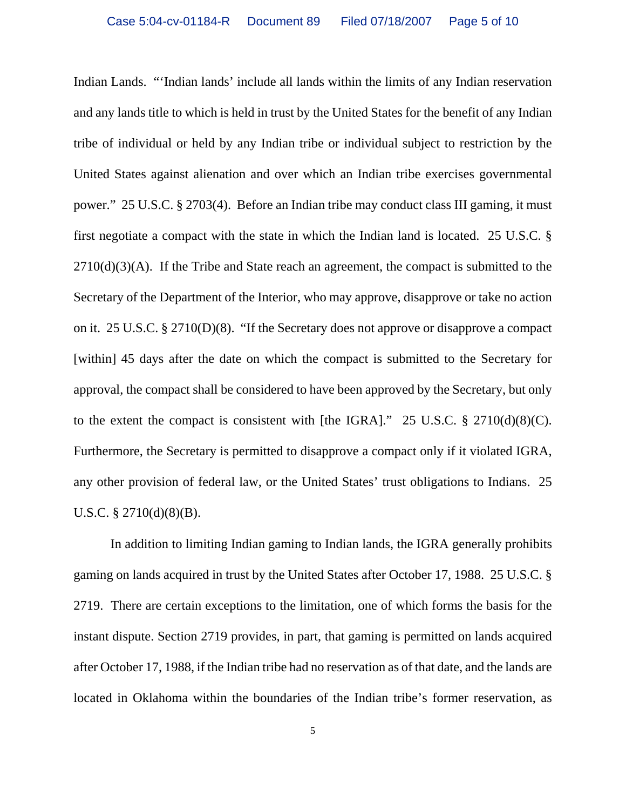Indian Lands. "'Indian lands' include all lands within the limits of any Indian reservation and any lands title to which is held in trust by the United States for the benefit of any Indian tribe of individual or held by any Indian tribe or individual subject to restriction by the United States against alienation and over which an Indian tribe exercises governmental power." 25 U.S.C. § 2703(4). Before an Indian tribe may conduct class III gaming, it must first negotiate a compact with the state in which the Indian land is located. 25 U.S.C. §  $2710(d)(3)(A)$ . If the Tribe and State reach an agreement, the compact is submitted to the Secretary of the Department of the Interior, who may approve, disapprove or take no action on it. 25 U.S.C. § 2710(D)(8). "If the Secretary does not approve or disapprove a compact [within] 45 days after the date on which the compact is submitted to the Secretary for approval, the compact shall be considered to have been approved by the Secretary, but only to the extent the compact is consistent with [the IGRA]." 25 U.S.C.  $\S$  2710(d)(8)(C). Furthermore, the Secretary is permitted to disapprove a compact only if it violated IGRA, any other provision of federal law, or the United States' trust obligations to Indians. 25 U.S.C. § 2710(d)(8)(B).

In addition to limiting Indian gaming to Indian lands, the IGRA generally prohibits gaming on lands acquired in trust by the United States after October 17, 1988. 25 U.S.C. § 2719. There are certain exceptions to the limitation, one of which forms the basis for the instant dispute. Section 2719 provides, in part, that gaming is permitted on lands acquired after October 17, 1988, if the Indian tribe had no reservation as of that date, and the lands are located in Oklahoma within the boundaries of the Indian tribe's former reservation, as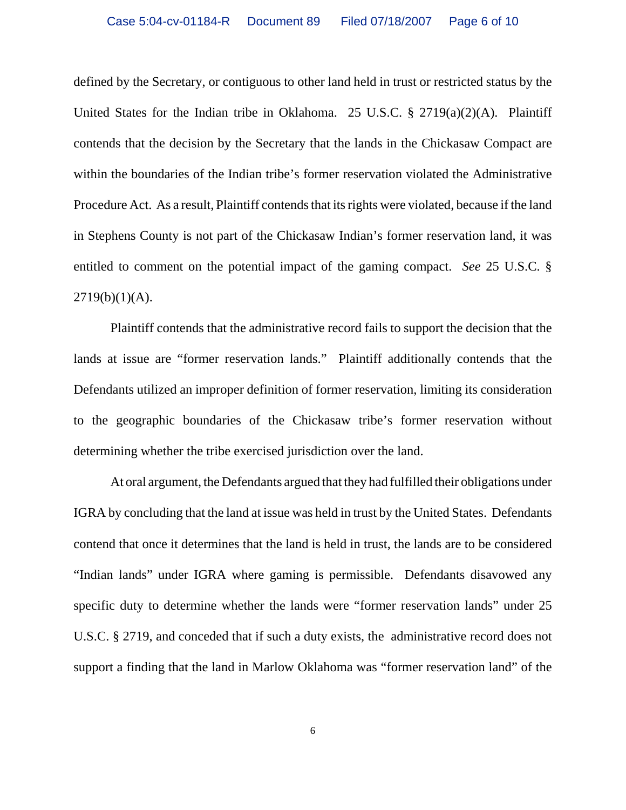defined by the Secretary, or contiguous to other land held in trust or restricted status by the United States for the Indian tribe in Oklahoma. 25 U.S.C. § 2719(a)(2)(A). Plaintiff contends that the decision by the Secretary that the lands in the Chickasaw Compact are within the boundaries of the Indian tribe's former reservation violated the Administrative Procedure Act. As a result, Plaintiff contends that its rights were violated, because if the land in Stephens County is not part of the Chickasaw Indian's former reservation land, it was entitled to comment on the potential impact of the gaming compact. *See* 25 U.S.C. §  $2719(b)(1)(A)$ .

Plaintiff contends that the administrative record fails to support the decision that the lands at issue are "former reservation lands." Plaintiff additionally contends that the Defendants utilized an improper definition of former reservation, limiting its consideration to the geographic boundaries of the Chickasaw tribe's former reservation without determining whether the tribe exercised jurisdiction over the land.

At oral argument, the Defendants argued that they had fulfilled their obligations under IGRA by concluding that the land at issue was held in trust by the United States. Defendants contend that once it determines that the land is held in trust, the lands are to be considered "Indian lands" under IGRA where gaming is permissible. Defendants disavowed any specific duty to determine whether the lands were "former reservation lands" under 25 U.S.C. § 2719, and conceded that if such a duty exists, the administrative record does not support a finding that the land in Marlow Oklahoma was "former reservation land" of the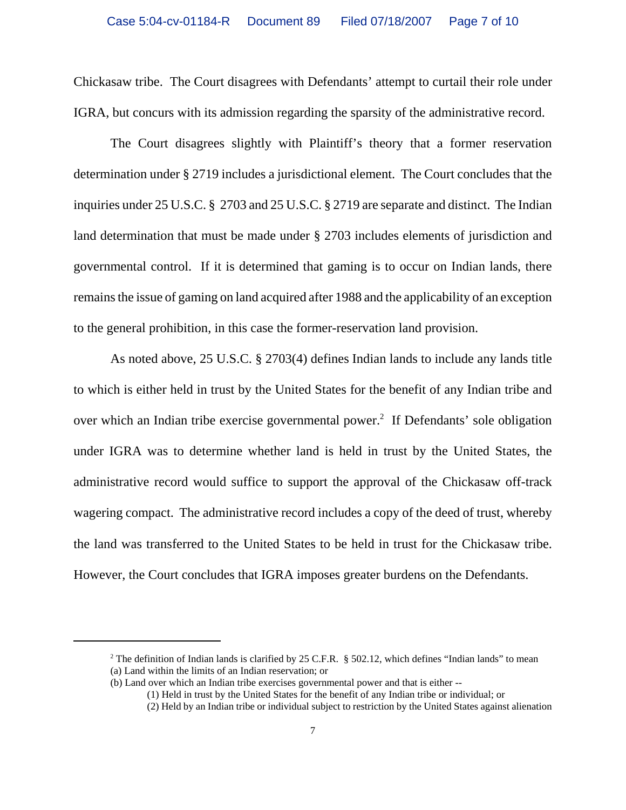Chickasaw tribe. The Court disagrees with Defendants' attempt to curtail their role under IGRA, but concurs with its admission regarding the sparsity of the administrative record.

The Court disagrees slightly with Plaintiff's theory that a former reservation determination under § 2719 includes a jurisdictional element. The Court concludes that the inquiries under 25 U.S.C. § 2703 and 25 U.S.C. § 2719 are separate and distinct. The Indian land determination that must be made under § 2703 includes elements of jurisdiction and governmental control. If it is determined that gaming is to occur on Indian lands, there remains the issue of gaming on land acquired after 1988 and the applicability of an exception to the general prohibition, in this case the former-reservation land provision.

As noted above, 25 U.S.C. § 2703(4) defines Indian lands to include any lands title to which is either held in trust by the United States for the benefit of any Indian tribe and over which an Indian tribe exercise governmental power.<sup>2</sup> If Defendants' sole obligation under IGRA was to determine whether land is held in trust by the United States, the administrative record would suffice to support the approval of the Chickasaw off-track wagering compact. The administrative record includes a copy of the deed of trust, whereby the land was transferred to the United States to be held in trust for the Chickasaw tribe. However, the Court concludes that IGRA imposes greater burdens on the Defendants.

<sup>&</sup>lt;sup>2</sup> The definition of Indian lands is clarified by 25 C.F.R. § 502.12, which defines "Indian lands" to mean (a) Land within the limits of an Indian reservation; or

<sup>(</sup>b) Land over which an Indian tribe exercises governmental power and that is either --

<sup>(1)</sup> Held in trust by the United States for the benefit of any Indian tribe or individual; or

<sup>(2)</sup> Held by an Indian tribe or individual subject to restriction by the United States against alienation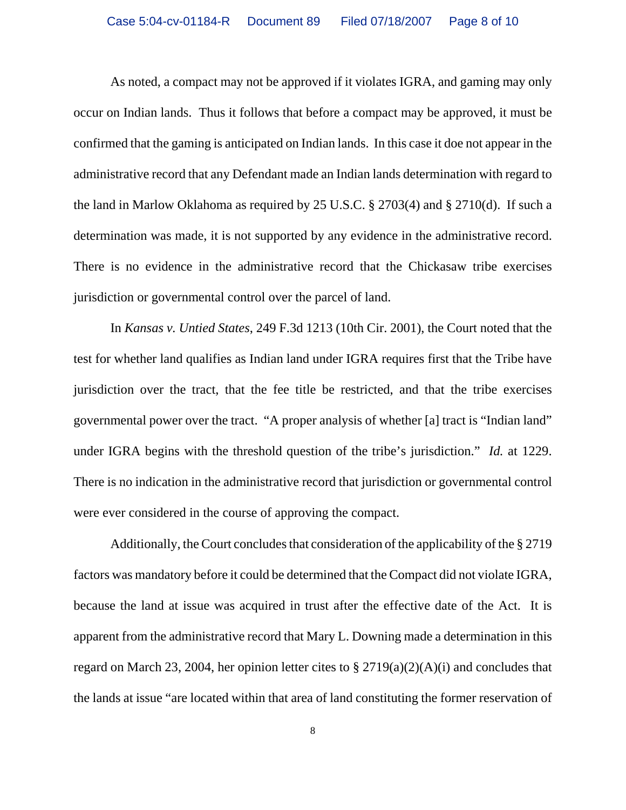As noted, a compact may not be approved if it violates IGRA, and gaming may only occur on Indian lands. Thus it follows that before a compact may be approved, it must be confirmed that the gaming is anticipated on Indian lands. In this case it doe not appear in the administrative record that any Defendant made an Indian lands determination with regard to the land in Marlow Oklahoma as required by 25 U.S.C. § 2703(4) and § 2710(d). If such a determination was made, it is not supported by any evidence in the administrative record. There is no evidence in the administrative record that the Chickasaw tribe exercises jurisdiction or governmental control over the parcel of land.

In *Kansas v. Untied States*, 249 F.3d 1213 (10th Cir. 2001), the Court noted that the test for whether land qualifies as Indian land under IGRA requires first that the Tribe have jurisdiction over the tract, that the fee title be restricted, and that the tribe exercises governmental power over the tract. "A proper analysis of whether [a] tract is "Indian land" under IGRA begins with the threshold question of the tribe's jurisdiction." *Id.* at 1229. There is no indication in the administrative record that jurisdiction or governmental control were ever considered in the course of approving the compact.

Additionally, the Court concludes that consideration of the applicability of the § 2719 factors was mandatory before it could be determined that the Compact did not violate IGRA, because the land at issue was acquired in trust after the effective date of the Act. It is apparent from the administrative record that Mary L. Downing made a determination in this regard on March 23, 2004, her opinion letter cites to  $\S 2719(a)(2)(A)(i)$  and concludes that the lands at issue "are located within that area of land constituting the former reservation of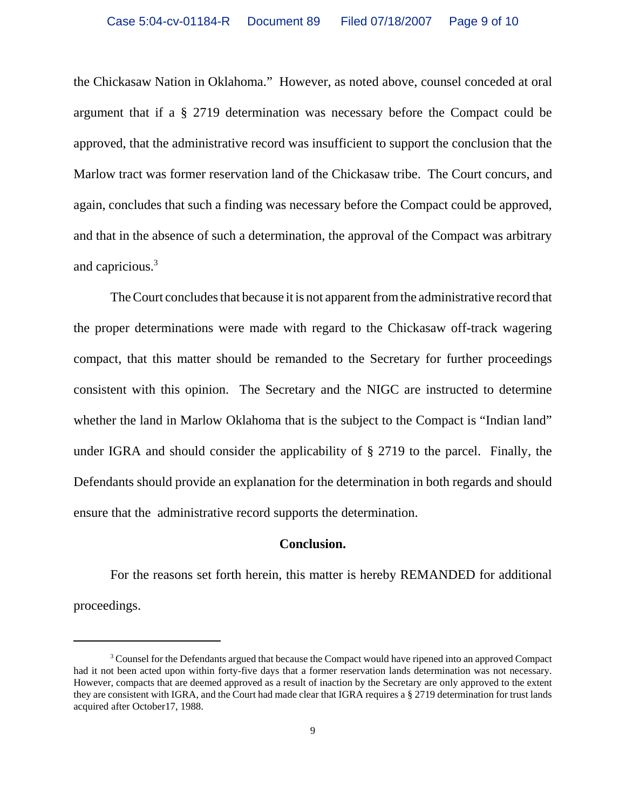the Chickasaw Nation in Oklahoma." However, as noted above, counsel conceded at oral argument that if a § 2719 determination was necessary before the Compact could be approved, that the administrative record was insufficient to support the conclusion that the Marlow tract was former reservation land of the Chickasaw tribe. The Court concurs, and again, concludes that such a finding was necessary before the Compact could be approved, and that in the absence of such a determination, the approval of the Compact was arbitrary and capricious.3

The Court concludes that because it is not apparent from the administrative record that the proper determinations were made with regard to the Chickasaw off-track wagering compact, that this matter should be remanded to the Secretary for further proceedings consistent with this opinion. The Secretary and the NIGC are instructed to determine whether the land in Marlow Oklahoma that is the subject to the Compact is "Indian land" under IGRA and should consider the applicability of § 2719 to the parcel. Finally, the Defendants should provide an explanation for the determination in both regards and should ensure that the administrative record supports the determination.

## **Conclusion.**

For the reasons set forth herein, this matter is hereby REMANDED for additional proceedings.

<sup>&</sup>lt;sup>3</sup> Counsel for the Defendants argued that because the Compact would have ripened into an approved Compact had it not been acted upon within forty-five days that a former reservation lands determination was not necessary. However, compacts that are deemed approved as a result of inaction by the Secretary are only approved to the extent they are consistent with IGRA, and the Court had made clear that IGRA requires a § 2719 determination for trust lands acquired after October17, 1988.